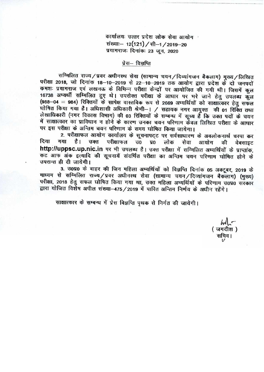कार्यालयः उत्तर प्रदेश लोक सेवा आयोग संख्याः- 12(121) / सी-1 / 2019-20 प्रयागराजः दिनांकः 23 जून, 2020

# प्रेस– विज्ञप्ति

सम्मिलित राज्य/प्रवर अधीनस्थ सेवा (सामान्य चयन/दिव्यांगजन बैकलाग) मुख्य/लिखित परीक्षा 2018, जो दिनांक 18-10-2019 से 22-10-2019 तक आयोग द्वारा प्रदेश के दो जनपदों कमशः प्रयागराज एवं लखनऊ के विभिन्न परीक्षा केन्द्रों पर आयोजित की गयी थी। जिसमें कुल 16738 अभ्यर्थी सम्मिलित हुए थे। उपरोक्त परीक्षा के आधार पर भरे जाने हेतु उपलब्ध कुल (988-04 = 984) रिक्तियों के सापेक्ष वास्तविक रूप से 2669 अभ्यर्थियों को साक्षात्कार हेतु सफल घोषित किया गया है। अधिशासी अधिकारी श्रेणी-। / सहायक नगर आयुक्त की 01 रिक्ति तथा लेखाधिकारी (नगर विकास विभाग) की 03 रिक्तियों के सम्बन्ध में सूच्य है<sup>ं</sup> कि उक्त पदों के चयन में साक्षात्कार का प्राविघान न होने के कारण उनका चयन परिणाम केवल लिखित परीक्षा के आधार पर इस परीक्षा के अन्तिम चयन परिणाम के समय घोषित किया जायेगा।

2. परीक्षाफल आयोग कार्यालय के सूचनापट्**ट पर सर्वसाधारण के अवलोकनार्थ च**स्पा क दिया गया है। उक्त परीक्षाफल उo प्रo लोक सेवा आयोग की वेबसाइट दिया गया है। उक्त परीक्षाफल उ0 प्र0 लोक सेवा आयोग की वेबसाइट<br>http://uppsc.up.nic.in पर**भी उपलब्ध है। उक्त परीक्षा में सम्मिलित** अभ्यर्थियों के प्राप्तांक, कट आफ अंक इत्यादि की सूचनायें संदर्भित परीक्षा का अन्तिम चयन परिणाम घोषित होने के उपरान्त ही दी जायेगी।

3. उ0प्र0 के बाहर की जिन महिला अभ्यर्थियों को विज्ञप्ति दिनांक 05 अक्टूबर, 2019 के माध्यम से सम्मिलित राज्य/प्रवर अधीनस्थ सेवा (सामान्य चयन/दिव्यांगजन बैकलाग) (मुख्य) परीक्षा, 2018 हेतु सफल घोषित किया गया था, उक्त महिला अभ्यर्थियों के परिणाम उ0प्र0 सरकार द्वारा योजित विशेष अपील संख्या-475/2019 में पारित अन्तिम निर्णय के अधीन रहेंगे।

साक्षात्कार के सम्बन्ध में प्रेस विज्ञप्ति पृथक से निर्गत की जायेगी।

 $\omega$ (जगदीश) सचिव।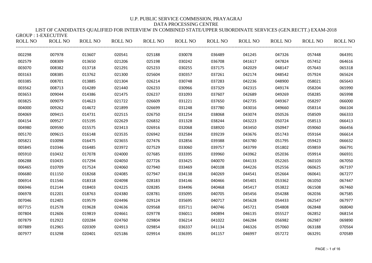### LIST OF CANDIDATES QUALIFIED FOR INTERVIEW IN COMBINED STATE/UPPER SUBORDINATE SERVICES (GEN.RECTT.) EXAM-2018  $CDOID \cdot 1$  EXECUTIVE

| ONOU . PEALCOTIVE<br><b>ROLL NO</b> | ROLL NO | <b>ROLL NO</b> | <b>ROLL NO</b> | <b>ROLL NO</b> | ROLL NO | <b>ROLL NO</b> | ROLL NO | ROLL NO | ROLL NO | <b>ROLL NO</b> |
|-------------------------------------|---------|----------------|----------------|----------------|---------|----------------|---------|---------|---------|----------------|
| 002298                              | 007978  | 013607         | 020541         | 025188         | 030078  | 036489         | 041245  | 047326  | 057448  | 064391         |
| 002579                              | 008309  | 013650         | 021206         | 025198         | 030242  | 036708         | 041617  | 047824  | 057452  | 064616         |
| 003070                              | 008382  | 013718         | 021291         | 025233         | 030255  | 037175         | 042029  | 048147  | 057643  | 065318         |
| 003163                              | 008385  | 013762         | 021300         | 025604         | 030357  | 037261         | 042174  | 048542  | 057924  | 065624         |
| 003385                              | 008701  | 013885         | 021304         | 026214         | 030748  | 037283         | 042236  | 048900  | 058021  | 065643         |
| 003562                              | 008713  | 014289         | 021440         | 026233         | 030966  | 037329         | 042315  | 049174  | 058204  | 065990         |
| 003653                              | 009044  | 014386         | 021475         | 026237         | 031093  | 037607         | 042689  | 049269  | 058285  | 065998         |
| 003825                              | 009079  | 014623         | 021722         | 026609         | 031221  | 037650         | 042735  | 049367  | 058297  | 066000         |
| 004000                              | 009262  | 014672         | 021899         | 026699         | 031248  | 037780         | 043016  | 049660  | 058314  | 066104         |
| 004069                              | 009415  | 014731         | 022515         | 026750         | 031254  | 038068         | 043074  | 050526  | 058509  | 066333         |
| 004154                              | 009527  | 015195         | 022629         | 026832         | 031328  | 038244         | 043223  | 050724  | 058513  | 066413         |
| 004980                              | 009590  | 015575         | 023413         | 026916         | 032068  | 038920         | 043450  | 050947  | 059060  | 066456         |
| 005170                              | 009615  | 016148         | 023535         | 026942         | 032584  | 039239         | 043676  | 051743  | 059164  | 066614         |
| 005821                              | 010098  | 016475         | 023655         | 027476         | 032856  | 039388         | 043780  | 051795  | 059423  | 066632         |
| 005845                              | 010346  | 016485         | 023972         | 027529         | 033060  | 039757         | 043799  | 051802  | 059859  | 066791         |
| 005910                              | 010432  | 017078         | 024000         | 027685         | 033395  | 039960         | 043962  | 052036  | 059914  | 066931         |
| 006288                              | 010435  | 017294         | 024050         | 027726         | 033425  | 040070         | 044133  | 052265  | 060103  | 067050         |
| 006465                              | 010709  | 017524         | 024060         | 027940         | 033469  | 040108         | 044226  | 052556  | 060625  | 067197         |
| 006680                              | 011150  | 018268         | 024085         | 027947         | 034138  | 040269         | 044541  | 052664  | 060641  | 067277         |
| 006914                              | 011546  | 018318         | 024098         | 028183         | 034146  | 040466         | 045401  | 053362  | 061050  | 067447         |
| 006946                              | 012144  | 018403         | 024225         | 028285         | 034496  | 040468         | 045417  | 053822  | 061508  | 067460         |
| 006978                              | 012201  | 018763         | 024380         | 028781         | 035095  | 040705         | 045456  | 054288  | 062036  | 067585         |
| 007046                              | 012405  | 019579         | 024496         | 029124         | 035695  | 040717         | 045628  | 054433  | 062547  | 067977         |
| 007715                              | 012578  | 019628         | 024636         | 029568         | 035711  | 040746         | 045721  | 054808  | 062848  | 068040         |
| 007804                              | 012606  | 019819         | 024661         | 029778         | 036011  | 040894         | 046135  | 055527  | 062852  | 068154         |
| 007879                              | 012922  | 020284         | 024760         | 029804         | 036214  | 041022         | 046284  | 056982  | 062987  | 069890         |
| 007889                              | 012965  | 020309         | 024913         | 029854         | 036337  | 041134         | 046326  | 057060  | 063188  | 070564         |
| 007977                              | 013298  | 020401         | 025186         | 029914         | 036395  | 041157         | 046997  | 057272  | 063291  | 070589         |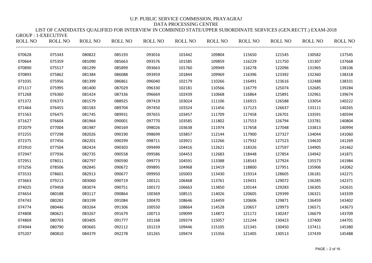#### LIST OF CANDIDATES QUALIFIED FOR INTERVIEW IN COMBINED STATE/UPPER SUBORDINATE SERVICES (GEN.RECTT.) EXAM-2018  $GROIIP \cdot 1$ -EXECUTIVE

| ONOUL LEALCOTIVE |                |                |                |         |                |         |         |         |         |                |
|------------------|----------------|----------------|----------------|---------|----------------|---------|---------|---------|---------|----------------|
| <b>ROLL NO</b>   | <b>ROLL NO</b> | <b>ROLL NO</b> | <b>ROLL NO</b> | ROLL NO | <b>ROLL NO</b> | ROLL NO | ROLL NO | ROLL NO | ROLL NO | <b>ROLL NO</b> |
| 070628           | 075343         | 080822         | 085193         | 093016  | 101442         | 109804  | 115650  | 121545  | 130582  | 137545         |
| 070664           | 075359         | 081090         | 085663         | 093576  | 101585         | 109859  | 116229  | 121750  | 131307  | 137668         |
| 070890           | 075517         | 081299         | 085899         | 093663  | 101760         | 109949  | 116278  | 122096  | 131965  | 138106         |
| 070893           | 075862         | 081384         | 086088         | 093959  | 101844         | 109969  | 116396  | 123392  | 132360  | 138318         |
| 071035           | 075956         | 081399         | 086861         | 096040  | 102179         | 110266  | 116491  | 123616  | 132488  | 138331         |
| 071117           | 075995         | 081400         | 087029         | 096330  | 102181         | 110566  | 116779  | 125074  | 132685  | 139284         |
| 071268           | 076360         | 081424         | 087336         | 096669  | 102439         | 110668  | 116864  | 125891  | 132961  | 139674         |
| 071372           | 076373         | 081579         | 088925         | 097419  | 103024         | 111106  | 116915  | 126588  | 133054  | 140222         |
| 071464           | 076455         | 081583         | 089704         | 097450  | 103324         | 111456  | 117123  | 126637  | 133111  | 140265         |
| 071563           | 076475         | 081745         | 089931         | 097655  | 103457         | 111709  | 117458  | 126701  | 133591  | 140594         |
| 071627           | 076604         | 081964         | 090001         | 097770  | 103585         | 111802  | 117553  | 126794  | 133781  | 140804         |
| 072079           | 077004         | 081987         | 090169         | 098026  | 103638         | 111974  | 117658  | 127048  | 133813  | 140994         |
| 072255           | 077298         | 082026         | 090190         | 098699  | 103857         | 112144  | 117900  | 127327  | 134044  | 141060         |
| 072375           | 077456         | 082201         | 090299         | 098711  | 103921         | 112266  | 117932  | 127523  | 134620  | 141269         |
| 072910           | 077504         | 082424         | 090303         | 099499  | 104416         | 112621  | 118326  | 127597  | 134905  | 141462         |
| 072947           | 077936         | 082735         | 090558         | 099586  | 104453         | 112683  | 118448  | 127854  | 134942  | 141871         |
| 072951           | 078011         | 082797         | 090590         | 099773  | 104591         | 113388  | 118543  | 127924  | 135573  | 141984         |
| 073256           | 078506         | 082845         | 090672         | 099895  | 104968         | 113419  | 118800  | 127951  | 135906  | 142062         |
| 073533           | 078601         | 082913         | 090677         | 099950  | 105003         | 113430  | 119314  | 128605  | 136181  | 142271         |
| 073663           | 079213         | 083060         | 090719         | 100121  | 106468         | 113761  | 119431  | 129072  | 136285  | 142371         |
| 074025           | 079458         | 083074         | 090751         | 100172  | 106663         | 113850  | 120144  | 129283  | 136305  | 142631         |
| 074654           | 080188         | 083117         | 090864         | 100369  | 108515         | 114026  | 120605  | 129399  | 136321  | 143339         |
| 074743           | 080282         | 083199         | 091084         | 100470  | 108646         | 114459  | 120606  | 129871  | 136459  | 143402         |
| 074774           | 080446         | 083264         | 091306         | 100550  | 108664         | 114528  | 120657  | 129973  | 136571  | 143673         |
| 074808           | 080621         | 083267         | 091679         | 100713  | 109099         | 114872  | 121172  | 130247  | 136679  | 143709         |
| 074869           | 080703         | 083405         | 091777         | 101168  | 109374         | 115057  | 121244  | 130423  | 137400  | 144701         |
| 074944           | 080790         | 083665         | 092112         | 101219  | 109446         | 115105  | 121345  | 130450  | 137411  | 145380         |
| 075207           | 080810         | 084379         | 092278         | 101265  | 109474         | 115356  | 121405  | 130513  | 137439  | 145488         |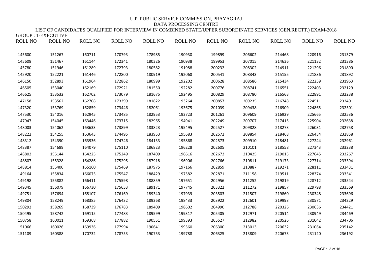LIST OF CANDIDATES QUALIFIED FOR INTERVIEW IN COMBINED STATE/UPPER SUBORDINATE SERVICES (GEN.RECTT.) EXAM-2018 GROUP : 1-EXECUTIVE

| ROLL NO | ROLL NO ROLL NO ROLL NO |        |        |        | ROLL NO ROLL NO |        | ROLL NO ROLL NO |        | ROLL NO ROLL NO | <b>ROLL NO</b> |
|---------|-------------------------|--------|--------|--------|-----------------|--------|-----------------|--------|-----------------|----------------|
| 145600  | 151267                  | 160711 | 170793 | 178985 | 190930          | 199899 | 206602          | 214468 | 220916          | 231379         |
| 145608  | 151467                  | 161144 | 172341 | 180326 | 190938          | 199953 | 207015          | 214636 | 221132          | 231386         |
| 145780  | 151946                  | 161289 | 172793 | 180582 | 191988          | 200232 | 208302          | 214911 | 221296          | 231890         |
| 145920  | 152221                  | 161446 | 172800 | 180919 | 192068          | 200541 | 208343          | 215155 | 221836          | 231892         |
| 146150  | 152893                  | 161964 | 172862 | 180999 | 192202          | 200628 | 208586          | 215434 | 222259          | 231963         |
| 146505  | 153040                  | 162169 | 172921 | 181550 | 192282          | 200776 | 208741          | 216551 | 222403          | 232129         |
| 146625  | 153532                  | 162702 | 173079 | 181675 | 192495          | 200829 | 208780          | 216563 | 222891          | 232238         |
| 147158  | 153562                  | 162708 | 173399 | 181822 | 193264          | 200857 | 209235          | 216748 | 224511          | 232401         |
| 147320  | 153769                  | 162859 | 173446 | 182061 | 193675          | 201039 | 209438          | 216909 | 224865          | 232501         |
| 147530  | 154016                  | 162945 | 173485 | 182953 | 193723          | 201261 | 209609          | 216929 | 225665          | 232536         |
| 147947  | 154045                  | 163446 | 173715 | 182965 | 194941          | 202249 | 209707          | 217415 | 225904          | 232638         |
| 148003  | 154062                  | 163633 | 173899 | 183823 | 195495          | 202527 | 209828          | 218273 | 226031          | 232758         |
| 148222  | 154255                  | 163643 | 174495 | 183953 | 195683          | 202572 | 209854          | 218468 | 226434          | 232858         |
| 148312  | 154390                  | 163936 | 174746 | 184133 | 195868          | 202573 | 209910          | 218481 | 227244          | 232961         |
| 148387  | 154689                  | 164079 | 175110 | 186823 | 196228          | 202605 | 210101          | 218558 | 227343          | 233238         |
| 148802  | 155144                  | 164225 | 175249 | 187409 | 196616          | 202672 | 210425          | 219015 | 227645          | 233267         |
| 148807  | 155328                  | 164286 | 175295 | 187918 | 196906          | 202766 | 210811          | 219173 | 227714          | 233394         |
| 148814  | 155400                  | 165160 | 175469 | 187975 | 197166          | 202859 | 210887          | 219271 | 228111          | 233431         |
| 149164  | 155834                  | 166075 | 175547 | 188429 | 197582          | 202871 | 211158          | 219511 | 228374          | 233541         |
| 149198  | 155882                  | 166411 | 175598 | 188859 | 197651          | 202956 | 211252          | 219819 | 228712          | 233544         |
| 149345  | 156079                  | 166730 | 175653 | 189171 | 197745          | 203322 | 211272          | 219857 | 229798          | 233569         |
| 149751  | 157694                  | 168107 | 176169 | 189340 | 197939          | 203503 | 211507          | 219860 | 230348          | 233696         |
| 149804  | 158249                  | 168385 | 176432 | 189368 | 198433          | 203922 | 212601          | 219993 | 230571          | 234229         |
| 150292  | 158269                  | 168739 | 176783 | 189409 | 198602          | 204990 | 212788          | 220326 | 230636          | 234421         |
| 150495  | 158742                  | 169115 | 177483 | 189599 | 199317          | 205405 | 212971          | 220514 | 230949          | 234469         |
| 150758  | 160011                  | 169368 | 177882 | 190551 | 199393          | 205527 | 212982          | 220526 | 231042          | 234706         |
| 151066  | 160026                  | 169936 | 177994 | 190641 | 199560          | 206300 | 213013          | 220632 | 231064          | 235142         |
| 151109  | 160388                  | 170732 | 178753 | 190753 | 199788          | 206325 | 213809          | 220673 | 231120          | 236192         |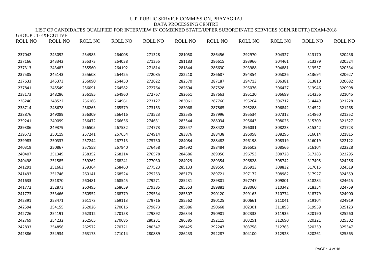### LIST OF CANDIDATES QUALIFIED FOR INTERVIEW IN COMBINED STATE/UPPER SUBORDINATE SERVICES (GEN.RECTT.) EXAM-2018  $GROIIP \cdot 1-FXFCIITIVF$

| ROLL NO | <b>ROLL NO</b> | ROLL NO | ROLL NO | ROLL NO | ROLL NO | ROLL NO | ROLL NO | ROLL NO | ROLL NO | <b>ROLL NO</b> |
|---------|----------------|---------|---------|---------|---------|---------|---------|---------|---------|----------------|
| 237042  | 243092         | 254985  | 264008  | 271328  | 281050  | 286456  | 292970  | 304327  | 313170  | 320436         |
| 237166  | 243342         | 255373  | 264038  | 271355  | 281183  | 286615  | 293966  | 304461  | 313279  | 320524         |
| 237313  | 243483         | 255560  | 264192  | 271814  | 281844  | 286630  | 293988  | 304881  | 313557  | 320534         |
| 237585  | 245143         | 255608  | 264425  | 272085  | 282210  | 286687  | 294354  | 305026  | 313694  | 320627         |
| 237633  | 245373         | 256090  | 264450  | 272622  | 282570  | 287187  | 294713  | 306381  | 313810  | 320682         |
| 237841  | 245549         | 256091  | 264582  | 272764  | 282604  | 287528  | 295076  | 306427  | 313946  | 320998         |
| 238173  | 248286         | 256185  | 264960  | 272767  | 282651  | 287663  | 295120  | 306699  | 314256  | 321045         |
| 238240  | 248522         | 256186  | 264961  | 273127  | 283061  | 287760  | 295264  | 306712  | 314449  | 321228         |
| 238714  | 248678         | 256265  | 265579  | 273153  | 283068  | 287865  | 295288  | 306842  | 314522  | 321268         |
| 238876  | 249089         | 256309  | 266416  | 273523  | 283535  | 287996  | 295534  | 307312  | 314860  | 321352         |
| 239241  | 249099         | 256472  | 266636  | 274631  | 283544  | 288034  | 295643  | 308026  | 315309  | 321527         |
| 239386  | 249379         | 256505  | 267532  | 274773  | 283547  | 288422  | 296031  | 308223  | 315342  | 321723         |
| 239572  | 250119         | 257241  | 267654  | 274914  | 283876  | 288438  | 296058  | 308296  | 316014  | 321815         |
| 239983  | 250337         | 257244  | 267713  | 275730  | 284084  | 288482  | 296198  | 308319  | 316019  | 322122         |
| 240319  | 250867         | 257558  | 267940  | 276458  | 284592  | 288484  | 296502  | 308566  | 316104  | 322228         |
| 240407  | 251349         | 258352  | 268214  | 276578  | 284686  | 289050  | 296753  | 308728  | 317283  | 322295         |
| 240498  | 251585         | 259262  | 268241  | 277030  | 284929  | 289354  | 296828  | 308742  | 317495  | 324256         |
| 241291  | 251663         | 259364  | 268460  | 277523  | 285133  | 289550  | 296913  | 308832  | 317615  | 324519         |
| 241493  | 251746         | 260141  | 268524  | 279253  | 285173  | 289721  | 297172  | 308982  | 317927  | 324559         |
| 241633  | 251870         | 260481  | 268545  | 279271  | 285231  | 289801  | 297747  | 309801  | 318284  | 324615         |
| 241772  | 252873         | 260495  | 268659  | 279385  | 285353  | 289881  | 298060  | 310342  | 318354  | 324759         |
| 241773  | 253466         | 260552  | 268779  | 279534  | 285507  | 290120  | 299163  | 310774  | 318779  | 324900         |
| 242391  | 253471         | 261173  | 269113  | 279716  | 285562  | 290125  | 300661  | 311041  | 319104  | 324919         |
| 242594  | 254155         | 262026  | 270016  | 279873  | 285886  | 290668  | 302301  | 311893  | 319959  | 325123         |
| 242726  | 254191         | 262312  | 270158  | 279892  | 286344  | 290901  | 302333  | 311935  | 320190  | 325260         |
| 242769  | 254232         | 262565  | 270686  | 280231  | 286385  | 292115  | 303251  | 312690  | 320221  | 325302         |
| 242833  | 254856         | 262572  | 270721  | 280347  | 286425  | 292247  | 303758  | 312763  | 320259  | 325347         |
| 242886  | 254934         | 263173  | 271014  | 280889  | 286433  | 292287  | 304100  | 312928  | 320261  | 325565         |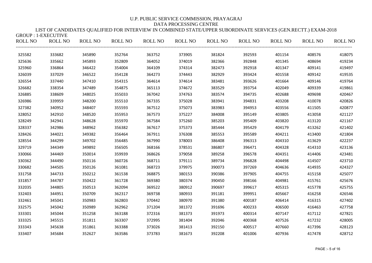LIST OF CANDIDATES QUALIFIED FOR INTERVIEW IN COMBINED STATE/UPPER SUBORDINATE SERVICES (GEN.RECTT.) EXAM-2018  $GROIIP \cdot 1-FXFCIITIVF$ 

| $ONOVI$ . $ITLITUTUTUTUTUTUTUTUTUTUTUTUTUTUTUTUTUTUTUTUTUTUTUTUTUTUTUTUTUROLL NO$ | <b>ROLL NO</b> | ROLL NO | ROLL NO | <b>ROLL NO</b> | ROLL NO | ROLL NO | ROLL NO | ROLL NO | ROLL NO | <b>ROLL NO</b> |
|-----------------------------------------------------------------------------------|----------------|---------|---------|----------------|---------|---------|---------|---------|---------|----------------|
| 325582                                                                            | 333682         | 345890  | 352764  | 363752         | 373905  | 381824  | 392593  | 401154  | 408576  | 418075         |
| 325636                                                                            | 335662         | 345893  | 352809  | 364052         | 374019  | 382366  | 392848  | 401345  | 408694  | 419234         |
| 325960                                                                            | 336864         | 346422  | 354004  | 364109         | 374314  | 382473  | 392918  | 401347  | 409141  | 419497         |
| 326039                                                                            | 337029         | 346522  | 354128  | 364273         | 374443  | 382929  | 393424  | 401558  | 409142  | 419535         |
| 326554                                                                            | 337440         | 347410  | 354315  | 364614         | 374614  | 383481  | 393626  | 401664  | 409146  | 419764         |
| 326682                                                                            | 338354         | 347489  | 354875  | 365113         | 374672  | 383529  | 393754  | 402049  | 409339  | 419861         |
| 326885                                                                            | 338609         | 348025  | 355033  | 367042         | 374763  | 383574  | 394735  | 402688  | 409698  | 420467         |
| 326986                                                                            | 339959         | 348200  | 355510  | 367335         | 375028  | 383941  | 394831  | 403208  | 410078  | 420826         |
| 327382                                                                            | 340952         | 348407  | 355593  | 367512         | 375073  | 383983  | 394953  | 403556  | 411505  | 420877         |
| 328052                                                                            | 342910         | 348520  | 355953  | 367573         | 375227  | 384008  | 395149  | 403805  | 413058  | 421127         |
| 328249                                                                            | 342941         | 348628  | 355970  | 367584         | 375260  | 385203  | 395409  | 403820  | 413120  | 421167         |
| 328337                                                                            | 342986         | 348962  | 356382  | 367617         | 375373  | 385444  | 395429  | 404179  | 413262  | 421402         |
| 328426                                                                            | 344021         | 349382  | 356464  | 367911         | 376308  | 385553  | 395589  | 404211  | 413400  | 421804         |
| 328554                                                                            | 344299         | 349702  | 356485  | 367990         | 378003  | 386408  | 396313  | 404310  | 413629  | 422237         |
| 329719                                                                            | 344349         | 349892  | 356505  | 368166         | 378531  | 386807  | 396471  | 404328  | 414310  | 423136         |
| 330066                                                                            | 344469         | 350014  | 359939  | 368626         | 379058  | 389258  | 396578  | 404351  | 414406  | 423481         |
| 330362                                                                            | 344490         | 350116  | 360726  | 368711         | 379111  | 389734  | 396828  | 404498  | 414507  | 423710         |
| 330682                                                                            | 344505         | 350126  | 361081  | 368723         | 379975  | 390073  | 397269  | 404636  | 414935  | 424327         |
| 331758                                                                            | 344733         | 350212  | 361538  | 368875         | 380153  | 390386  | 397905  | 404755  | 415158  | 425077         |
| 331857                                                                            | 344787         | 350422  | 361728  | 369380         | 380374  | 390450  | 398166  | 404981  | 415761  | 425676         |
| 332035                                                                            | 344805         | 350513  | 362094  | 369522         | 380912  | 390697  | 399617  | 405315  | 415778  | 425755         |
| 332403                                                                            | 344951         | 350709  | 362317  | 369738         | 380933  | 391181  | 399951  | 405667  | 416258  | 426546         |
| 332461                                                                            | 345041         | 350983  | 362803  | 370442         | 380970  | 391380  | 400187  | 406414  | 416315  | 427402         |
| 332575                                                                            | 345042         | 350989  | 362962  | 371204         | 381372  | 391696  | 400233  | 406500  | 416463  | 427758         |
| 333301                                                                            | 345044         | 351258  | 363188  | 372316         | 381373  | 391973  | 400314  | 407147  | 417112  | 427821         |
| 333325                                                                            | 345515         | 351811  | 363307  | 372995         | 381404  | 392046  | 400368  | 407526  | 417232  | 428005         |
| 333343                                                                            | 345638         | 351861  | 363388  | 373026         | 381413  | 392150  | 400517  | 407660  | 417396  | 428123         |
| 333407                                                                            | 345684         | 352627  | 363586  | 373783         | 381673  | 392208  | 401006  | 407936  | 417478  | 428712         |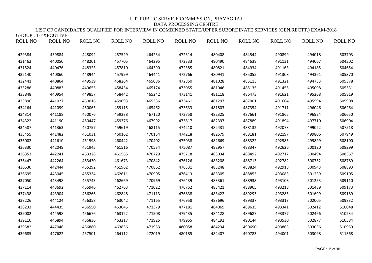### LIST OF CANDIDATES QUALIFIED FOR INTERVIEW IN COMBINED STATE/UPPER SUBORDINATE SERVICES (GEN.RECTT.) EXAM-2018  $GROIIP \cdot 1-FXFCIITIVF$

| $ONOVI$ . $ITLITUTUTUTUTUTUTUTUTUTUTUTUTUTUTUTUTUTUTUTUTUTUTUTUTUTUTUTUTUROLL NO$ | <b>ROLL NO</b> | <b>ROLL NO</b> | <b>ROLL NO</b> | <b>ROLL NO</b> | ROLL NO | <b>ROLL NO</b> | ROLL NO | ROLL NO | <b>ROLL NO</b> | <b>ROLL NO</b> |
|-----------------------------------------------------------------------------------|----------------|----------------|----------------|----------------|---------|----------------|---------|---------|----------------|----------------|
| 429384                                                                            | 439884         | 448092         | 457529         | 464234         | 472314  | 480408         | 484544  | 490899  | 494018         | 503703         |
| 431462                                                                            | 440050         | 448201         | 457705         | 464295         | 472333  | 480490         | 484638  | 491131  | 494067         | 504302         |
| 431524                                                                            | 440476         | 448323         | 457810         | 464390         | 472385  | 480821         | 484934  | 491163  | 494185         | 504654         |
| 432140                                                                            | 440860         | 448944         | 457999         | 464441         | 472766  | 480941         | 485055  | 491308  | 494361         | 505370         |
| 432441                                                                            | 440864         | 449539         | 458264         | 465086         | 472850  | 481028         | 485113  | 491321  | 494733         | 505378         |
| 433286                                                                            | 440883         | 449655         | 458434         | 465174         | 473055  | 481046         | 485135  | 491455  | 495098         | 505531         |
| 433848                                                                            | 440954         | 449857         | 458442         | 465242         | 473141  | 481118         | 486473  | 491621  | 495268         | 505819         |
| 433896                                                                            | 441027         | 450016         | 459093         | 465336         | 473461  | 481297         | 487001  | 491664  | 495594         | 505908         |
| 434164                                                                            | 441099         | 450065         | 459115         | 465462         | 473633  | 481803         | 487354  | 491711  | 496046         | 506264         |
| 434314                                                                            | 441188         | 450076         | 459288         | 467120         | 473758  | 482325         | 487661  | 491865  | 496924         | 506650         |
| 434322                                                                            | 441190         | 450447         | 459376         | 467992         | 473817  | 482397         | 487889  | 491894  | 497710         | 506904         |
| 434587                                                                            | 441363         | 450757         | 459619         | 468115         | 474210  | 482431         | 488132  | 492073  | 499022         | 507518         |
| 435455                                                                            | 441482         | 451031         | 460162         | 470154         | 474218  | 482579         | 488181  | 492197  | 499806         | 507949         |
| 436002                                                                            | 441610         | 451598         | 460442         | 470402         | 475038  | 482669         | 488322  | 492585  | 499899         | 508100         |
| 436330                                                                            | 442049         | 451945         | 461516         | 470534         | 475087  | 482957         | 488347  | 492626  | 500120         | 508299         |
| 436353                                                                            | 442241         | 453328         | 461565         | 470729         | 475718  | 483034         | 488492  | 492717  | 500494         | 508367         |
| 436447                                                                            | 442264         | 453430         | 461673         | 470842         | 476126  | 483208         | 488713  | 492782  | 500752         | 508789         |
| 436530                                                                            | 442444         | 455292         | 461962         | 470862         | 476331  | 483248         | 488824  | 492918  | 500943         | 508893         |
| 436695                                                                            | 443045         | 455334         | 462611         | 470905         | 476413  | 483305         | 488853  | 493083  | 501239         | 509105         |
| 437050                                                                            | 443498         | 455743         | 462669         | 470969         | 476439  | 483361         | 488938  | 493108  | 501253         | 509110         |
| 437114                                                                            | 443692         | 455946         | 462763         | 471022         | 476752  | 483421         | 488965  | 493218  | 501489         | 509173         |
| 437438                                                                            | 443904         | 456266         | 462848         | 471113         | 476838  | 483422         | 489293  | 493285  | 501699         | 509189         |
| 438226                                                                            | 444124         | 456358         | 463042         | 471165         | 476958  | 483696         | 489337  | 493313  | 502005         | 509832         |
| 438233                                                                            | 444435         | 456550         | 463045         | 471379         | 477181  | 484065         | 489635  | 493341  | 502412         | 510048         |
| 439002                                                                            | 444598         | 456676         | 463122         | 471508         | 479435  | 484128         | 489687  | 493377  | 502466         | 510234         |
| 439110                                                                            | 446894         | 456836         | 463217         | 471925         | 479955  | 484192         | 490144  | 493530  | 502877         | 510584         |
| 439582                                                                            | 447046         | 456880         | 463836         | 471953         | 480058  | 484234         | 490690  | 493863  | 503036         | 510959         |
| 439685                                                                            | 447622         | 457501         | 464112         | 472019         | 480185  | 484407         | 490783  | 494001  | 503098         | 511368         |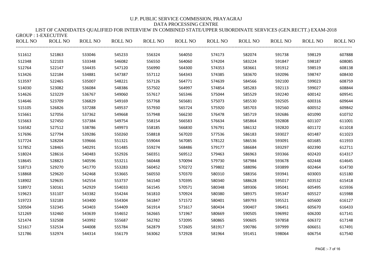LIST OF CANDIDATES QUALIFIED FOR INTERVIEW IN COMBINED STATE/UPPER SUBORDINATE SERVICES (GEN.RECTT.) EXAM-2018 GROUP : 1-EXECUTIVE

|        | ROLL NO ROLL NO ROLL NO ROLL NO |        |        |        | ROLL NO ROLL NO |        | ROLL NO ROLL NO |        | ROLL NO ROLL NO | <b>ROLL NO</b> |
|--------|---------------------------------|--------|--------|--------|-----------------|--------|-----------------|--------|-----------------|----------------|
| 511612 | 521863                          | 533046 | 545233 | 556324 | 564050          | 574173 | 582074          | 591738 | 598129          | 607888         |
| 512348 | 522103                          | 533348 | 546082 | 556550 | 564060          | 574204 | 583224          | 591847 | 598187          | 608085         |
| 512764 | 522147                          | 534435 | 547120 | 556990 | 564300          | 574353 | 583661          | 591912 | 598519          | 608138         |
| 513426 | 522184                          | 534881 | 547387 | 557112 | 564343          | 574385 | 583670          | 592096 | 598747          | 608430         |
| 513597 | 522465                          | 535007 | 548221 | 557126 | 564771          | 574639 | 584566          | 592100 | 599023          | 608759         |
| 514030 | 523082                          | 536084 | 548386 | 557502 | 564997          | 574854 | 585283          | 592113 | 599027          | 608844         |
| 514626 | 523229                          | 536767 | 549060 | 557617 | 565346          | 575044 | 585529          | 592240 | 600142          | 609541         |
| 514646 | 523709                          | 536829 | 549169 | 557768 | 565681          | 575073 | 585530          | 592505 | 600316          | 609644         |
| 515105 | 526826                          | 537288 | 549537 | 557930 | 565724          | 575920 | 585703          | 592560 | 600552          | 609842         |
| 515661 | 527056                          | 537362 | 549668 | 557948 | 566230          | 576478 | 585719          | 592686 | 601090          | 610732         |
| 515663 | 527450                          | 537384 | 549754 | 558154 | 566583          | 576634 | 585864          | 592808 | 601107          | 611001         |
| 516582 | 527512                          | 538786 | 549973 | 558185 | 566830          | 576791 | 586132          | 592820 | 601172          | 611018         |
| 517696 | 527794                          | 539286 | 550260 | 558818 | 567020          | 577536 | 586183          | 593027 | 601487          | 611023         |
| 517724 | 528204                          | 539666 | 551321 | 559044 | 567085          | 578122 | 586536          | 593091 | 601685          | 611933         |
| 517852 | 528465                          | 540291 | 551485 | 559274 | 568486          | 579177 | 586684          | 593297 | 602390          | 612711         |
| 518024 | 528616                          | 540483 | 552926 | 560351 | 569512          | 579463 | 586963          | 593366 | 602420          | 614317         |
| 518645 | 528823                          | 540596 | 553211 | 560448 | 570094          | 579730 | 587984          | 593678 | 602448          | 614645         |
| 518713 | 529270                          | 541770 | 553283 | 560452 | 570272          | 579802 | 588096          | 593899 | 602464          | 614730         |
| 518868 | 529620                          | 542468 | 553665 | 560550 | 570370          | 580310 | 588356          | 593941 | 603003          | 615180         |
| 518902 | 529635                          | 542554 | 553737 | 561540 | 570395          | 580340 | 588628          | 595017 | 603532          | 615418         |
| 518972 | 530161                          | 542929 | 554033 | 561545 | 570571          | 580348 | 589306          | 595041 | 605495          | 615936         |
| 519623 | 531107                          | 543382 | 554244 | 561810 | 570924          | 580380 | 589375          | 595347 | 605527          | 615988         |
| 519723 | 532183                          | 543400 | 554304 | 561847 | 571572          | 580401 | 589793          | 595521 | 605600          | 616127         |
| 520504 | 532345                          | 543403 | 554409 | 561914 | 571617          | 580434 | 590407          | 596451 | 605670          | 616433         |
| 521269 | 532460                          | 543639 | 554652 | 562665 | 571967          | 580669 | 590505          | 596992 | 606200          | 617141         |
| 521474 | 532508                          | 543992 | 555687 | 562782 | 572095          | 580865 | 590605          | 597858 | 606372          | 617148         |
| 521617 | 532534                          | 544008 | 555784 | 562879 | 572605          | 581917 | 590786          | 597999 | 606651          | 617491         |
| 521786 | 532974                          | 544314 | 556179 | 563062 | 572928          | 581964 | 591451          | 598064 | 606754          | 617540         |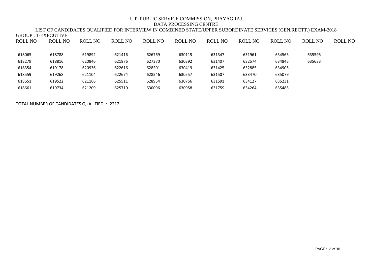|         |                     |         |         |         | LIST OF CANDIDATES QUALIFIED FOR INTERVIEW IN COMBINED STATE/UPPER SUBORDINATE SERVICES (GEN.RECTT.) EXAM-2018 |         |         |         |         |         |
|---------|---------------------|---------|---------|---------|----------------------------------------------------------------------------------------------------------------|---------|---------|---------|---------|---------|
|         | GROUP : 1-EXECUTIVE |         |         |         |                                                                                                                |         |         |         |         |         |
| ROLL NO | ROLL NO             | ROLL NO | ROLL NO | ROLL NO | ROLL NO                                                                                                        | ROLL NO | ROLL NO | ROLL NO | ROLL NO | ROLL NO |
|         |                     |         |         |         |                                                                                                                |         |         |         |         |         |
| 618065  | 618788              | 619892  | 621416  | 626769  | 630115                                                                                                         | 631347  | 631961  | 634563  | 635595  |         |
| 618279  | 618816              | 620846  | 621876  | 627370  | 630392                                                                                                         | 631407  | 632574  | 634845  | 635633  |         |
| 618354  | 619178              | 620936  | 622616  | 628201  | 630419                                                                                                         | 631425  | 632885  | 634905  |         |         |
| 618559  | 619268              | 621104  | 622674  | 628546  | 630557                                                                                                         | 631507  | 633470  | 635079  |         |         |
| 618651  | 619522              | 621166  | 625511  | 628954  | 630756                                                                                                         | 631591  | 634127  | 635231  |         |         |
| 618661  | 619734              | 621209  | 625710  | 630096  | 630958                                                                                                         | 631759  | 634264  | 635485  |         |         |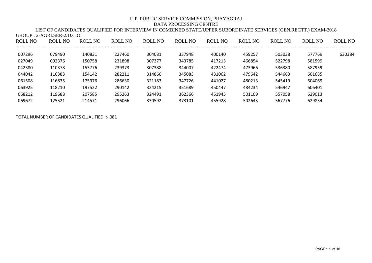## LIST OF CANDIDATES QUALIFIED FOR INTERVIEW IN COMBINED STATE/UPPER SUBORDINATE SERVICES (GEN.RECTT.) EXAM-2018 GROUP : 2-AGRI.SER-2/D.C.O.

| ROLL NO | ROLL NO | ROLL NO | ROLL NO | ROLL NO | ROLL NO | <b>ROLL NO</b> | ROLL NO | ROLL NO | ROLL NO | ROLL NO |
|---------|---------|---------|---------|---------|---------|----------------|---------|---------|---------|---------|
| 007296  | 079490  | 140831  | 227460  | 304081  | 337948  | 400140         | 459257  | 503038  | 577769  | 630384  |
| 027049  | 092376  | 150758  | 231898  | 307377  | 343785  | 417213         | 466854  | 522798  | 581599  |         |
| 042380  | 110378  | 153776  | 239373  | 307388  | 344007  | 422474         | 473966  | 536380  | 587959  |         |
| 044042  | 116383  | 154142  | 282211  | 314860  | 345083  | 431062         | 479642  | 544663  | 601685  |         |
| 061508  | 116835  | 175976  | 286630  | 321183  | 347726  | 441027         | 480213  | 545419  | 604069  |         |
| 063925  | 118210  | 197522  | 290142  | 324215  | 351689  | 450447         | 484234  | 546947  | 606401  |         |
| 068212  | 119688  | 207585  | 295263  | 324491  | 362366  | 451945         | 501109  | 557058  | 629013  |         |
| 069672  | 125521  | 214571  | 296066  | 330592  | 373101  | 455928         | 502643  | 567776  | 629854  |         |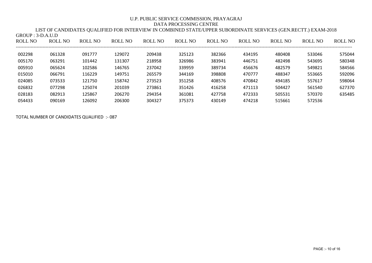LIST OF CANDIDATES QUALIFIED FOR INTERVIEW IN COMBINED STATE/UPPER SUBORDINATE SERVICES (GEN.RECTT.) EXAM-2018 GROUP : 3-D.A.U.D

| ROLL NO | ROLL NO | ROLL NO | ROLL NO | ROLL NO | ROLL NO | ROLL NO | ROLL NO | ROLL NO | ROLL NO | ROLL NO |
|---------|---------|---------|---------|---------|---------|---------|---------|---------|---------|---------|
| 002298  | 061328  | 091777  | 129072  | 209438  | 325123  | 382366  | 434195  | 480408  | 533046  | 575044  |
| 005170  | 063291  | 101442  | 131307  | 218958  | 326986  | 383941  | 446751  | 482498  | 543695  | 580348  |
| 005910  | 065624  | 102586  | 146765  | 237042  | 339959  | 389734  | 456676  | 482579  | 549821  | 584566  |
| 015010  | 066791  | 116229  | 149751  | 265579  | 344169  | 398808  | 470777  | 488347  | 553665  | 592096  |
| 024085  | 073533  | 121750  | 158742  | 273523  | 351258  | 408576  | 470842  | 494185  | 557617  | 598064  |
| 026832  | 077298  | 125074  | 201039  | 273861  | 351426  | 416258  | 471113  | 504427  | 561540  | 627370  |
| 028183  | 082913  | 125867  | 206270  | 294354  | 361081  | 427758  | 472333  | 505531  | 570370  | 635485  |
| 054433  | 090169  | 126092  | 206300  | 304327  | 375373  | 430149  | 474218  | 515661  | 572536  |         |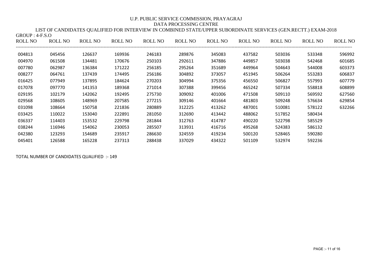| $GROUP: 4-F.S.O$ |         |         |         |         |         |         |         |         |         |                |
|------------------|---------|---------|---------|---------|---------|---------|---------|---------|---------|----------------|
| ROLL NO          | ROLL NO | ROLL NO | ROLL NO | ROLL NO | ROLL NO | ROLL NO | ROLL NO | ROLL NO | ROLL NO | <b>ROLL NO</b> |
| 004813           | 045456  | 126637  | 169936  | 246183  | 289876  | 345083  | 437582  | 503036  | 533348  | 596992         |
| 004970           | 061508  | 134481  | 170676  | 250103  | 292611  | 347886  | 449857  | 503038  | 542468  | 601685         |
| 007780           | 062987  | 136384  | 171222  | 256185  | 295264  | 351689  | 449964  | 504643  | 544008  | 603373         |
| 008277           | 064761  | 137439  | 174495  | 256186  | 304892  | 373057  | 451945  | 506264  | 553283  | 606837         |
| 016425           | 077949  | 137895  | 184624  | 270203  | 304994  | 375356  | 456550  | 506827  | 557993  | 607779         |
| 017078           | 097770  | 141353  | 189368  | 271014  | 307388  | 399456  | 465242  | 507334  | 558818  | 608899         |
| 029195           | 102179  | 142062  | 192495  | 275730  | 309092  | 401006  | 471508  | 509110  | 569592  | 627560         |
| 029568           | 108605  | 148969  | 207585  | 277215  | 309146  | 401664  | 481803  | 509248  | 576634  | 629854         |
| 031098           | 108664  | 150758  | 221836  | 280889  | 312225  | 413262  | 487001  | 510081  | 578122  | 632266         |
| 033425           | 110022  | 153040  | 222891  | 281050  | 312690  | 413442  | 488062  | 517852  | 580434  |                |
| 036337           | 114403  | 153532  | 229798  | 281844  | 312763  | 414787  | 490220  | 522798  | 585529  |                |
| 038244           | 116946  | 154062  | 230053  | 285507  | 313931  | 416716  | 495268  | 524383  | 586132  |                |
| 042380           | 123293  | 154689  | 235917  | 286630  | 324559  | 419234  | 500120  | 528465  | 590280  |                |
| 045401           | 126588  | 165228  | 237313  | 288438  | 337029  | 434322  | 501109  | 532974  | 592236  |                |

LIST OF CANDIDATES QUALIFIED FOR INTERVIEW IN COMBINED STATE/UPPER SUBORDINATE SERVICES (GEN.RECTT.) EXAM-2018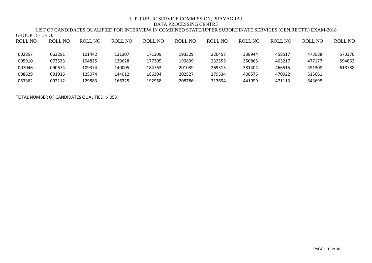LIST OF CANDIDATES QUALIFIED FOR INTERVIEW IN COMBINED STATE/UPPER SUBORDINATE SERVICES (GEN.RECTT.) EXAM-2018 GROUP : 5-L.E.O.

| ROLL NO | ROLL NO | <b>ROLL NO</b> | ROLL NO | <b>ROLL NO</b> | ROLL NO | <b>ROLL NO</b> | ROLL NO | ROLL NO | ROLL NO | ROLL NO |
|---------|---------|----------------|---------|----------------|---------|----------------|---------|---------|---------|---------|
| 002857  | 063291  | 101442         | 131307  | 171309         | 193329  | 226457         | 338944  | 458517  | 473088  | 570370  |
| 005910  | 073533  | 104825         | 139628  | 177305         | 199899  | 232555         | 350865  | 463217  | 477177  | 594862  |
| 007046  | 090674  | 109374         | 140005  | 184763         | 201039  | 269515         | 381404  | 466515  | 491308  | 618788  |
| 008629  | 091916  | 125074         | 144012  | 186304         | 202527  | 279534         | 408576  | 470922  | 515661  |         |
| 053362  | 092112  | 129883         | 166325  | 192968         | 208786  | 313694         | 441099  | 471113  | 543695  |         |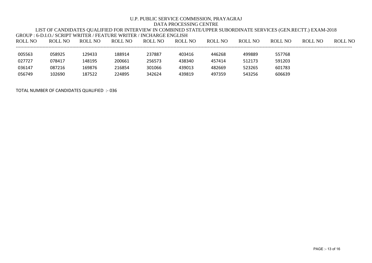|         |         |         | GROUP : 6-D.LO./ SCRIPT WRITER / FEATURE WRITER / INCHARGE ENGLISH |         |         |         |         |         |         |         |
|---------|---------|---------|--------------------------------------------------------------------|---------|---------|---------|---------|---------|---------|---------|
| ROLL NO | ROLL NO | ROLL NO | ROLL NO                                                            | ROLL NO | ROLL NO | ROLL NO | ROLL NO | ROLL NO | ROLL NO | ROLL NO |
|         |         |         |                                                                    |         |         |         |         |         |         |         |
| 005563  | 058925  | 129433  | 188914                                                             | 237887  | 403416  | 446268  | 499889  | 557768  |         |         |
| 027727  | 078417  | 148195  | 200661                                                             | 256573  | 438340  | 457414  | 512173  | 591203  |         |         |
| 036147  | 087216  | 169876  | 216854                                                             | 301066  | 439013  | 482669  | 523265  | 601783  |         |         |
| 056749  | 102690  | 187522  | 224895                                                             | 342624  | 439819  | 497359  | 543256  | 606639  |         |         |

LIST OF CANDIDATES QUALIFIED FOR INTERVIEW IN COMBINED STATE/UPPER SUBORDINATE SERVICES (GEN.RECTT.) EXAM-2018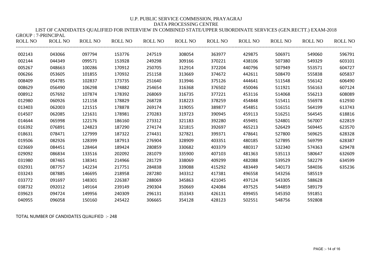LIST OF CANDIDATES QUALIFIED FOR INTERVIEW IN COMBINED STATE/UPPER SUBORDINATE SERVICES (GEN.RECTT.) EXAM-2018  $GROIIP \cdot 7-PRINCIPAI$ 

| ROLL NO | <b>ROLL NO</b> | <b>ROLL NO</b> | ROLL NO | ROLL NO | ROLL NO | ROLL NO | ROLL NO | ROLL NO | <b>ROLL NO</b> | <b>ROLL NO</b> |
|---------|----------------|----------------|---------|---------|---------|---------|---------|---------|----------------|----------------|
| 002143  | 043066         | 097794         | 153776  | 247519  | 308054  | 363977  | 429875  | 506971  | 549060         | 596791         |
| 002144  | 044349         | 099571         | 153928  | 249298  | 309166  | 370221  | 438106  | 507380  | 549329         | 603101         |
| 005267  | 048663         | 100286         | 170912  | 250705  | 312914  | 372204  | 440796  | 507949  | 553571         | 604727         |
| 006266  | 053605         | 101855         | 170932  | 251158  | 313669  | 374672  | 442611  | 508470  | 555838         | 605837         |
| 008409  | 054785         | 102837         | 173735  | 251640  | 313946  | 375126  | 444641  | 511548  | 556142         | 606490         |
| 008629  | 056490         | 106298         | 174882  | 254654  | 316368  | 376502  | 450046  | 511921  | 556163         | 607124         |
| 008912  | 057692         | 107874         | 178392  | 268069  | 316735  | 377221  | 453116  | 514068  | 556213         | 608089         |
| 012980  | 060926         | 121158         | 178829  | 268728  | 318223  | 378259  | 454848  | 515411  | 556978         | 612930         |
| 013403  | 062003         | 121515         | 178878  | 269174  | 319055  | 389877  | 454851  | 516151  | 564199         | 613743         |
| 014507  | 062085         | 121631         | 178981  | 270283  | 319723  | 390945  | 459113  | 516251  | 564545         | 618816         |
| 014644  | 065998         | 122176         | 186160  | 273312  | 321183  | 392280  | 459491  | 524801  | 567007         | 622819         |
| 016392  | 076891         | 124823         | 187290  | 274174  | 321815  | 392697  | 465213  | 526429  | 569445         | 623570         |
| 018631  | 078471         | 127999         | 187322  | 274431  | 327821  | 399371  | 478641  | 527800  | 569625         | 628328         |
| 019506  | 082926         | 128399         | 187913  | 276904  | 328909  | 403351  | 480185  | 527895  | 569799         | 628387         |
| 023669  | 084451         | 128464         | 189424  | 280859  | 330682  | 403379  | 480317  | 532340  | 574363         | 629478         |
| 029092  | 086834         | 133516         | 202092  | 281079  | 335900  | 407103  | 481363  | 535113  | 580647         | 632609         |
| 031980  | 087465         | 138341         | 214966  | 281729  | 338069  | 409299  | 482088  | 539529  | 582279         | 634599         |
| 032931  | 087757         | 142234         | 217751  | 284838  | 339088  | 415292  | 483449  | 540173  | 584036         | 635236         |
| 033243  | 087885         | 146695         | 218958  | 287280  | 343312  | 417381  | 496558  | 543256  | 585519         |                |
| 033772  | 091697         | 148301         | 226387  | 288069  | 345863  | 421045  | 497124  | 543305  | 588628         |                |
| 038732  | 092012         | 149164         | 239149  | 290304  | 350669  | 424084  | 497525  | 544859  | 589179         |                |
| 039623  | 094724         | 149956         | 240309  | 296131  | 353343  | 426131  | 499455  | 545350  | 591851         |                |
| 040955  | 096058         | 150160         | 245422  | 306665  | 354128  | 428123  | 502551  | 548756  | 592808         |                |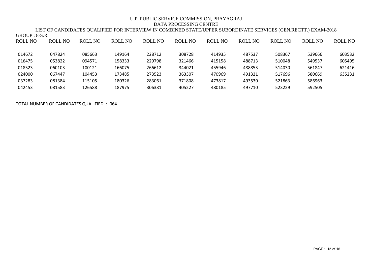LIST OF CANDIDATES QUALIFIED FOR INTERVIEW IN COMBINED STATE/UPPER SUBORDINATE SERVICES (GEN.RECTT.) EXAM-2018 GROUP : 8-S.R.

| <b>ROLL NO</b> | <b>ROLL NO</b> | <b>ROLL NO</b> | <b>ROLL NO</b> | <b>ROLL NO</b> | <b>ROLL NO</b> | <b>ROLL NO</b> | <b>ROLL NO</b> | <b>ROLL NO</b> | ROLL NO | <b>ROLL NO</b> |
|----------------|----------------|----------------|----------------|----------------|----------------|----------------|----------------|----------------|---------|----------------|
|                |                |                |                |                |                |                |                |                |         |                |
| 014672         | 047824         | 085663         | 149164         | 228712         | 308728         | 414935         | 487537         | 508367         | 539666  | 603532         |
| 016475         | 053822         | 094571         | 158333         | 229798         | 321466         | 415158         | 488713         | 510048         | 549537  | 605495         |
| 018523         | 060103         | 100121         | 166075         | 266612         | 344021         | 455946         | 488853         | 514030         | 561847  | 621416         |
| 024000         | 067447         | 104453         | 173485         | 273523         | 363307         | 470969         | 491321         | 517696         | 580669  | 635231         |
| 037283         | 081384         | 115105         | 180326         | 283061         | 371808         | 473817         | 493530         | 521863         | 586963  |                |
| 042453         | 081583         | 126588         | 187975         | 306381         | 405227         | 480185         | 497710         | 523229         | 592505  |                |